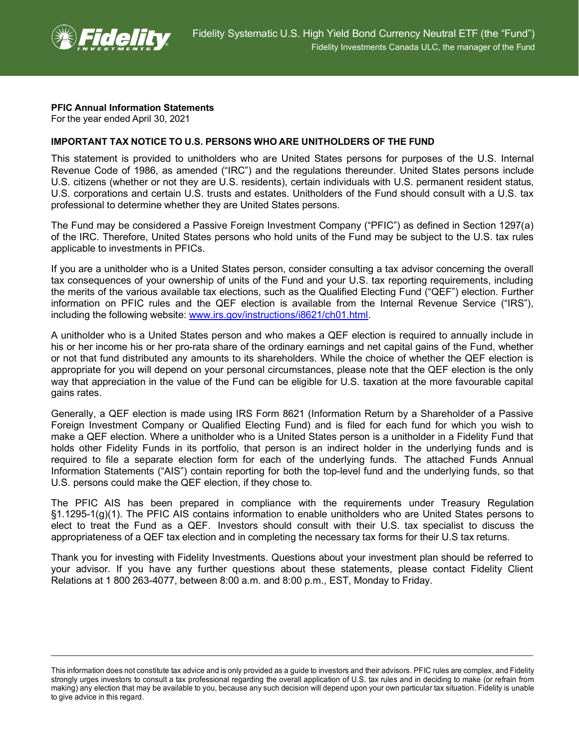

## **PFIC Annual Information Statements**

For the year ended April 30, 2021

## **IMPORTANT TAX NOTICE TO U.S. PERSONS WHO ARE UNITHOLDERS OF THE FUND**

This statement is provided to unitholders who are United States persons for purposes of the U.S. Internal Revenue Code of 1986, as amended ("IRC") and the regulations thereunder. United States persons include U.S. citizens (whether or not they are U.S. residents), certain individuals with U.S. permanent resident status, U.S. corporations and certain U.S. trusts and estates. Unitholders of the Fund should consult with a U.S. tax professional to determine whether they are United States persons.

The Fund may be considered a Passive Foreign Investment Company ("PFIC") as defined in Section 1297(a) of the IRC. Therefore, United States persons who hold units of the Fund may be subject to the U.S. tax rules applicable to investments in PFICs.

If you are a unitholder who is a United States person, consider consulting a tax advisor concerning the overall tax consequences of your ownership of units of the Fund and your U.S. tax reporting requirements, including the merits of the various available tax elections, such as the Qualified Electing Fund ("QEF") election. Further information on PFIC rules and the QEF election is available from the Internal Revenue Service ("IRS"), including the following website: [www.irs.gov/instructions/i8621/ch01.html.](http://www.irs.gov/instructions/i8621/ch01.html)

A unitholder who is a United States person and who makes a QEF election is required to annually include in his or her income his or her pro-rata share of the ordinary earnings and net capital gains of the Fund, whether or not that fund distributed any amounts to its shareholders. While the choice of whether the QEF election is appropriate for you will depend on your personal circumstances, please note that the QEF election is the only way that appreciation in the value of the Fund can be eligible for U.S. taxation at the more favourable capital gains rates.

Generally, a QEF election is made using IRS Form 8621 (Information Return by a Shareholder of a Passive Foreign Investment Company or Qualified Electing Fund) and is filed for each fund for which you wish to make a QEF election. Where a unitholder who is a United States person is a unitholder in a Fidelity Fund that holds other Fidelity Funds in its portfolio, that person is an indirect holder in the underlying funds and is required to file a separate election form for each of the underlying funds. The attached Funds Annual Information Statements ("AIS") contain reporting for both the top-level fund and the underlying funds, so that U.S. persons could make the QEF election, if they chose to.

The PFIC AIS has been prepared in compliance with the requirements under Treasury Regulation §1.1295-1(g)(1). The PFIC AIS contains information to enable unitholders who are United States persons to elect to treat the Fund as a QEF. Investors should consult with their U.S. tax specialist to discuss the appropriateness of a QEF tax election and in completing the necessary tax forms for their U.S tax returns.

Thank you for investing with Fidelity Investments. Questions about your investment plan should be referred to your advisor. If you have any further questions about these statements, please contact Fidelity Client Relations at 1 800 263-4077, between 8:00 a.m. and 8:00 p.m., EST, Monday to Friday.

This information does not constitute tax advice and is only provided as a guide to investors and their advisors. PFIC rules are complex, and Fidelity strongly urges investors to consult a tax professional regarding the overall application of U.S. tax rules and in deciding to make (or refrain from making) any election that may be available to you, because any such decision will depend upon your own particular tax situation. Fidelity is unable to give advice in this regard.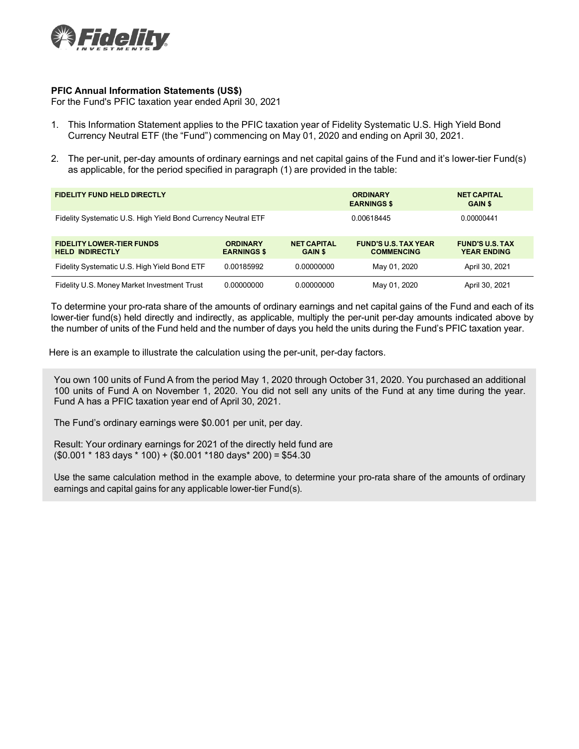

## **PFIC Annual Information Statements (US\$)**

For the Fund's PFIC taxation year ended April 30, 2021

- 1. This Information Statement applies to the PFIC taxation year of Fidelity Systematic U.S. High Yield Bond Currency Neutral ETF (the "Fund") commencing on May 01, 2020 and ending on April 30, 2021.
- 2. The per-unit, per-day amounts of ordinary earnings and net capital gains of the Fund and it's lower-tier Fund(s) as applicable, for the period specified in paragraph (1) are provided in the table:

| <b>FIDELITY FUND HELD DIRECTLY</b>                            |                                       |                                      | <b>ORDINARY</b><br><b>EARNINGS \$</b>            | <b>NET CAPITAL</b><br><b>GAIN \$</b>         |  |
|---------------------------------------------------------------|---------------------------------------|--------------------------------------|--------------------------------------------------|----------------------------------------------|--|
| Fidelity Systematic U.S. High Yield Bond Currency Neutral ETF |                                       |                                      | 0.00618445                                       | 0.00000441                                   |  |
| <b>FIDELITY LOWER-TIER FUNDS</b><br><b>HELD INDIRECTLY</b>    | <b>ORDINARY</b><br><b>EARNINGS \$</b> | <b>NET CAPITAL</b><br><b>GAIN \$</b> | <b>FUND'S U.S. TAX YEAR</b><br><b>COMMENCING</b> | <b>FUND'S U.S. TAX</b><br><b>YEAR ENDING</b> |  |
| Fidelity Systematic U.S. High Yield Bond ETF                  | 0.00185992                            | 0.00000000                           | May 01, 2020                                     | April 30, 2021                               |  |
| Fidelity U.S. Money Market Investment Trust                   | 0.00000000                            | 0.00000000                           | May 01, 2020                                     | April 30, 2021                               |  |

To determine your pro-rata share of the amounts of ordinary earnings and net capital gains of the Fund and each of its lower-tier fund(s) held directly and indirectly, as applicable, multiply the per-unit per-day amounts indicated above by the number of units of the Fund held and the number of days you held the units during the Fund's PFIC taxation year.

Here is an example to illustrate the calculation using the per-unit, per-day factors.

You own 100 units of Fund A from the period May 1, 2020 through October 31, 2020. You purchased an additional 100 units of Fund A on November 1, 2020. You did not sell any units of the Fund at any time during the year. Fund A has a PFIC taxation year end of April 30, 2021.

The Fund's ordinary earnings were \$0.001 per unit, per day.

Result: Your ordinary earnings for 2021 of the directly held fund are (\$0.001 \* 183 days \* 100) + (\$0.001 \*180 days\* 200) = \$54.30

Use the same calculation method in the example above, to determine your pro-rata share of the amounts of ordinary earnings and capital gains for any applicable lower-tier Fund(s).